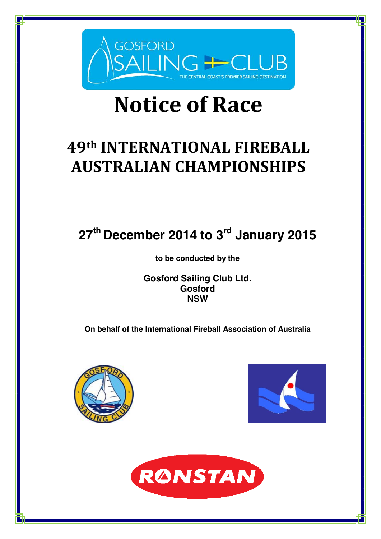

# **Notice of Race**

# **49th INTERNATIONAL FIREBALL AUSTRALIAN CHAMPIONSHIPS**

# **27th December 2014 to 3rd January 2015**

**to be conducted by the**

**Gosford Sailing Club Ltd. Gosford NSW**

**On behalf of the International Fireball Association of Australia**





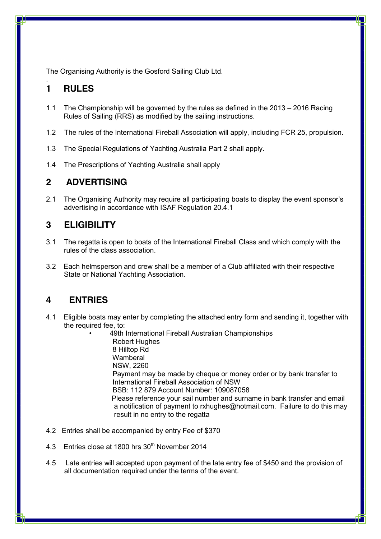The Organising Authority is the Gosford Sailing Club Ltd.

#### . **1 RULES**

- 1.1 The Championship will be governed by the rules as defined in the 2013 2016 Racing Rules of Sailing (RRS) as modified by the sailing instructions.
- 1.2 The rules of the International Fireball Association will apply, including FCR 25, propulsion.
- 1.3 The Special Regulations of Yachting Australia Part 2 shall apply.
- 1.4 The Prescriptions of Yachting Australia shall apply

#### **2 ADVERTISING**

2.1 The Organising Authority may require all participating boats to display the event sponsor's advertising in accordance with ISAF Regulation 20.4.1

#### **3 ELIGIBILITY**

- 3.1 The regatta is open to boats of the International Fireball Class and which comply with the rules of the class association.
- 3.2 Each helmsperson and crew shall be a member of a Club affiliated with their respective State or National Yachting Association.

#### **4 ENTRIES**

- 4.1 Eligible boats may enter by completing the attached entry form and sending it, together with the required fee, to:
	- 49th International Fireball Australian Championships Robert Hughes 8 Hilltop Rd **Wamberal** NSW, 2260 Payment may be made by cheque or money order or by bank transfer to International Fireball Association of NSW BSB: 112 879 Account Number: 109087058 Please reference your sail number and surname in bank transfer and email a notification of payment to rxhughes@hotmail.com. Failure to do this may result in no entry to the regatta
- 4.2 Entries shall be accompanied by entry Fee of \$370
- 4.3 Entries close at 1800 hrs 30<sup>th</sup> November 2014
- 4.5 Late entries will accepted upon payment of the late entry fee of \$450 and the provision of all documentation required under the terms of the event.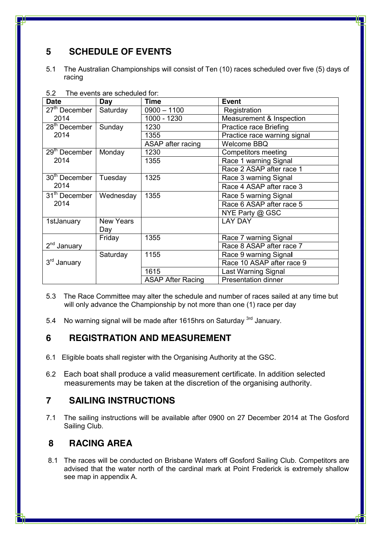### **5 SCHEDULE OF EVENTS**

5.1 The Australian Championships will consist of Ten (10) races scheduled over five (5) days of racing

| <b>Date</b>               | Day              | <b>Time</b>              | <b>Event</b>                 |
|---------------------------|------------------|--------------------------|------------------------------|
| 27 <sup>th</sup> December | Saturday         | $0900 - 1100$            | Registration                 |
| 2014                      |                  | 1000 - 1230              | Measurement & Inspection     |
| 28 <sup>th</sup> December | Sunday           | 1230                     | Practice race Briefing       |
| 2014                      |                  | 1355                     | Practice race warning signal |
|                           |                  | ASAP after racing        | <b>Welcome BBQ</b>           |
| 29 <sup>th</sup> December | Monday           | 1230                     | Competitors meeting          |
| 2014                      |                  | 1355                     | Race 1 warning Signal        |
|                           |                  |                          | Race 2 ASAP after race 1     |
| 30 <sup>th</sup> December | Tuesday          | 1325                     | Race 3 warning Signal        |
| 2014                      |                  |                          | Race 4 ASAP after race 3     |
| 31 <sup>th</sup> December | Wednesday        | 1355                     | Race 5 warning Signal        |
| 2014                      |                  |                          | Race 6 ASAP after race 5     |
|                           |                  |                          | NYE Party @ GSC              |
| 1stJanuary                | <b>New Years</b> |                          | <b>LAY DAY</b>               |
|                           | Day              |                          |                              |
|                           | Friday           | 1355                     | Race 7 warning Signal        |
| $2nd$ January             |                  |                          | Race 8 ASAP after race 7     |
|                           | Saturday         | 1155                     | Race 9 warning Signal        |
| 3rd January               |                  |                          | Race 10 ASAP after race 9    |
|                           |                  | 1615                     | Last Warning Signal          |
|                           |                  | <b>ASAP After Racing</b> | <b>Presentation dinner</b>   |

5.2 The events are scheduled for:

- 5.3 The Race Committee may alter the schedule and number of races sailed at any time but will only advance the Championship by not more than one (1) race per day
- 5.4 No warning signal will be made after 1615hrs on Saturday <sup>3rd</sup> January.

#### **6 REGISTRATION AND MEASUREMENT**

- 6.1 Eligible boats shall register with the Organising Authority at the GSC.
- 6.2 Each boat shall produce a valid measurement certificate. In addition selected measurements may be taken at the discretion of the organising authority.

#### **7 SAILING INSTRUCTIONS**

7.1 The sailing instructions will be available after 0900 on 27 December 2014 at The Gosford Sailing Club.

#### **8 RACING AREA**

8.1 The races will be conducted on Brisbane Waters off Gosford Sailing Club. Competitors are advised that the water north of the cardinal mark at Point Frederick is extremely shallow see map in appendix A.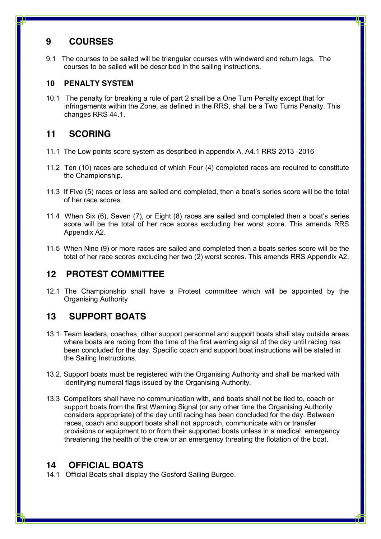#### **9 COURSES**

9.1 The courses to be sailed will be triangular courses with windward and return legs. The courses to be sailed will be described in the sailing instructions.

#### **10 PENALTY SYSTEM**

10.1 The penalty for breaking a rule of part 2 shall be a One Turn Penalty except that for infringements within the Zone, as defined in the RRS, shall be a Two Turns Penalty. This changes RRS 44.1.

#### **11 SCORING**

- 11.1 The Low points score system as described in appendix A, A4.1 RRS 2013 -2016
- 11.2 Ten (10) races are scheduled of which Four (4) completed races are required to constitute the Championship.
- 11.3 If Five (5) races or less are sailed and completed, then a boat's series score will be the total of her race scores.
- 11.4 When Six (6), Seven (7), or Eight (8) races are sailed and completed then a boat's series score will be the total of her race scores excluding her worst score. This amends RRS Appendix A2.
- 11.5 When Nine (9) or more races are sailed and completed then a boats series score will be the total of her race scores excluding her two (2) worst scores. This amends RRS Appendix A2.

### **12 PROTEST COMMITTEE**

12.1 The Championship shall have a Protest committee which will be appointed by the Organising Authority

### **13 SUPPORT BOATS**

- 13.1. Team leaders, coaches, other support personnel and support boats shall stay outside areas where boats are racing from the time of the first warning signal of the day until racing has been concluded for the day. Specific coach and support boat instructions will be stated in the Sailing Instructions.
- 13.2. Support boats must be registered with the Organising Authority and shall be marked with identifying numeral flags issued by the Organising Authority.
- 13.3 Competitors shall have no communication with, and boats shall not be tied to, coach or support boats from the first Warning Signal (or any other time the Organising Authority considers appropriate) of the day until racing has been concluded for the day. Between races, coach and support boats shall not approach, communicate with or transfer provisions or equipment to or from their supported boats unless in a medical emergency threatening the health of the crew or an emergency threating the flotation of the boat.

#### **14 OFFICIAL BOATS**

14.1 Official Boats shall display the Gosford Sailing Burgee.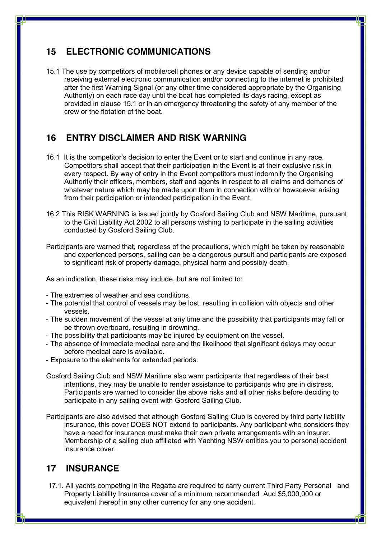#### **15 ELECTRONIC COMMUNICATIONS**

15.1 The use by competitors of mobile/cell phones or any device capable of sending and/or receiving external electronic communication and/or connecting to the internet is prohibited after the first Warning Signal (or any other time considered appropriate by the Organising Authority) on each race day until the boat has completed its days racing, except as provided in clause 15.1 or in an emergency threatening the safety of any member of the crew or the flotation of the boat.

#### **16 ENTRY DISCLAIMER AND RISK WARNING**

- 16.1 It is the competitor's decision to enter the Event or to start and continue in any race. Competitors shall accept that their participation in the Event is at their exclusive risk in every respect. By way of entry in the Event competitors must indemnify the Organising Authority their officers, members, staff and agents in respect to all claims and demands of whatever nature which may be made upon them in connection with or howsoever arising from their participation or intended participation in the Event.
- 16.2 This RISK WARNING is issued jointly by Gosford Sailing Club and NSW Maritime, pursuant to the Civil Liability Act 2002 to all persons wishing to participate in the sailing activities conducted by Gosford Sailing Club.
- Participants are warned that, regardless of the precautions, which might be taken by reasonable and experienced persons, sailing can be a dangerous pursuit and participants are exposed to significant risk of property damage, physical harm and possibly death.

As an indication, these risks may include, but are not limited to:

- The extremes of weather and sea conditions.
- The potential that control of vessels may be lost, resulting in collision with objects and other vessels.
- The sudden movement of the vessel at any time and the possibility that participants may fall or be thrown overboard, resulting in drowning.
- The possibility that participants may be injured by equipment on the vessel.
- The absence of immediate medical care and the likelihood that significant delays may occur before medical care is available.
- Exposure to the elements for extended periods.
- Gosford Sailing Club and NSW Maritime also warn participants that regardless of their best intentions, they may be unable to render assistance to participants who are in distress. Participants are warned to consider the above risks and all other risks before deciding to participate in any sailing event with Gosford Sailing Club.
- Participants are also advised that although Gosford Sailing Club is covered by third party liability insurance, this cover DOES NOT extend to participants. Any participant who considers they have a need for insurance must make their own private arrangements with an insurer. Membership of a sailing club affiliated with Yachting NSW entitles you to personal accident insurance cover.

#### **17 INSURANCE**

17.1. All yachts competing in the Regatta are required to carry current Third Party Personal and Property Liability Insurance cover of a minimum recommended Aud \$5,000,000 or equivalent thereof in any other currency for any one accident.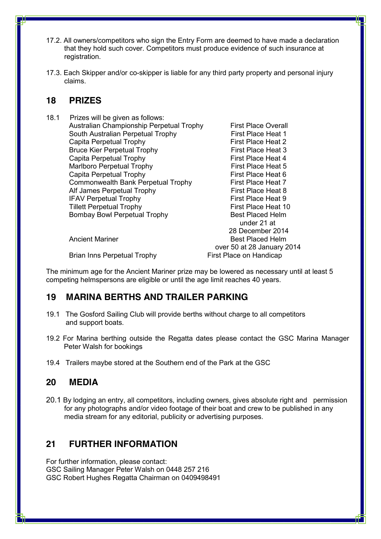- 17.2. All owners/competitors who sign the Entry Form are deemed to have made a declaration that they hold such cover. Competitors must produce evidence of such insurance at registration.
- 17.3. Each Skipper and/or co-skipper is liable for any third party property and personal injury claims.

#### **18 PRIZES**

18.1 Prizes will be given as follows: Australian Championship Perpetual Trophy First Place Overall South Australian Perpetual Trophy First Place Heat 1 Capita Perpetual Trophy First Place Heat 2 Bruce Kier Perpetual Trophy First Place Heat 3 Capita Perpetual Trophy First Place Heat 4 Marlboro Perpetual Trophy First Place Heat 5 Capita Perpetual Trophy First Place Heat 6 Commonwealth Bank Perpetual Trophy First Place Heat 7 Alf James Perpetual Trophy First Place Heat 8 IFAV Perpetual Trophy **First Place Heat 9** Tillett Perpetual Trophy First Place Heat 10 Bombay Bowl Perpetual Trophy Best Placed Helm

 under 21 at 28 December 2014 Ancient Mariner **Best Placed Helm** over 50 at 28 January 2014

Brian Inns Perpetual Trophy First Place on Handicap

The minimum age for the Ancient Mariner prize may be lowered as necessary until at least 5 competing helmspersons are eligible or until the age limit reaches 40 years.

#### **19 MARINA BERTHS AND TRAILER PARKING**

- 19.1 The Gosford Sailing Club will provide berths without charge to all competitors and support boats.
- 19.2 For Marina berthing outside the Regatta dates please contact the GSC Marina Manager Peter Walsh for bookings
- 19.4 Trailers maybe stored at the Southern end of the Park at the GSC

#### **20 MEDIA**

20.1 By lodging an entry, all competitors, including owners, gives absolute right and permission for any photographs and/or video footage of their boat and crew to be published in any media stream for any editorial, publicity or advertising purposes.

#### **21 FURTHER INFORMATION**

For further information, please contact: GSC Sailing Manager Peter Walsh on 0448 257 216 GSC Robert Hughes Regatta Chairman on 0409498491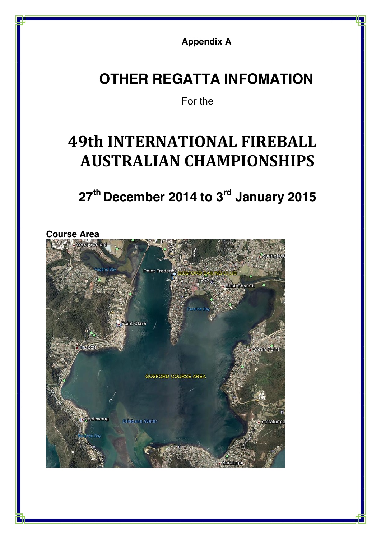**Appendix A**

# **OTHER REGATTA INFOMATION**

## For the

# **49th INTERNATIONAL FIREBALL AUSTRALIAN CHAMPIONSHIPS**

# **27th December 2014 to 3rd January 2015**